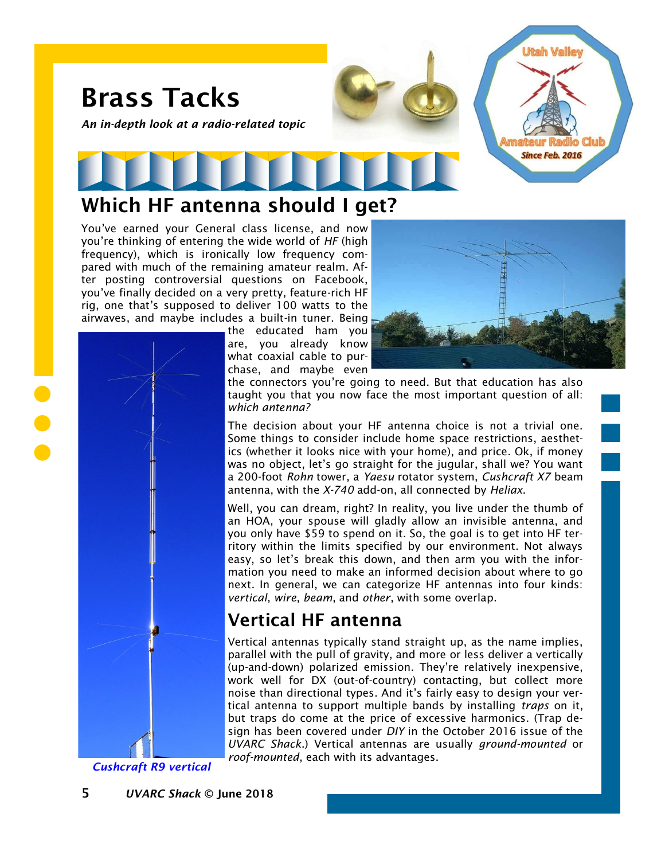

#### Which HF antenna should I get?

You've earned your General class license, and now you're thinking of entering the wide world of *HF* (high frequency), which is ironically low frequency compared with much of the remaining amateur realm. After posting controversial questions on Facebook, you've finally decided on a very pretty, feature-rich HF rig, one that's supposed to deliver 100 watts to the airwaves, and maybe includes a built-in tuner. Being

the educated ham you are, you already know what coaxial cable to purchase, and maybe even



the connectors you're going to need. But that education has also taught you that you now face the most important question of all: *which antenna?*

The decision about your HF antenna choice is not a trivial one. Some things to consider include home space restrictions, aesthetics (whether it looks nice with your home), and price. Ok, if money was no object, let's go straight for the jugular, shall we? You want a 200-foot *Rohn* tower, a *Yaesu* rotator system, *Cushcraft X7* beam antenna, with the *X-740* add-on, all connected by *Heliax*.

Well, you can dream, right? In reality, you live under the thumb of an HOA, your spouse will gladly allow an invisible antenna, and you only have \$59 to spend on it. So, the goal is to get into HF territory within the limits specified by our environment. Not always easy, so let's break this down, and then arm you with the information you need to make an informed decision about where to go next. In general, we can categorize HF antennas into four kinds: *vertical*, *wire*, *beam*, and *other*, with some overlap.

#### Vertical HF antenna

Vertical antennas typically stand straight up, as the name implies, parallel with the pull of gravity, and more or less deliver a vertically (up-and-down) polarized emission. They're relatively inexpensive, work well for DX (out-of-country) contacting, but collect more noise than directional types. And it's fairly easy to design your vertical antenna to support multiple bands by installing *traps* on it, but traps do come at the price of excessive harmonics. (Trap design has been covered under *DIY* in the October 2016 issue of the *UVARC Shack*.) Vertical antennas are usually *ground-mounted* or *roof-mounted*, each with its advantages.

*Cushcraft R9 vertical*

5 *UVARC Shack* © June 2018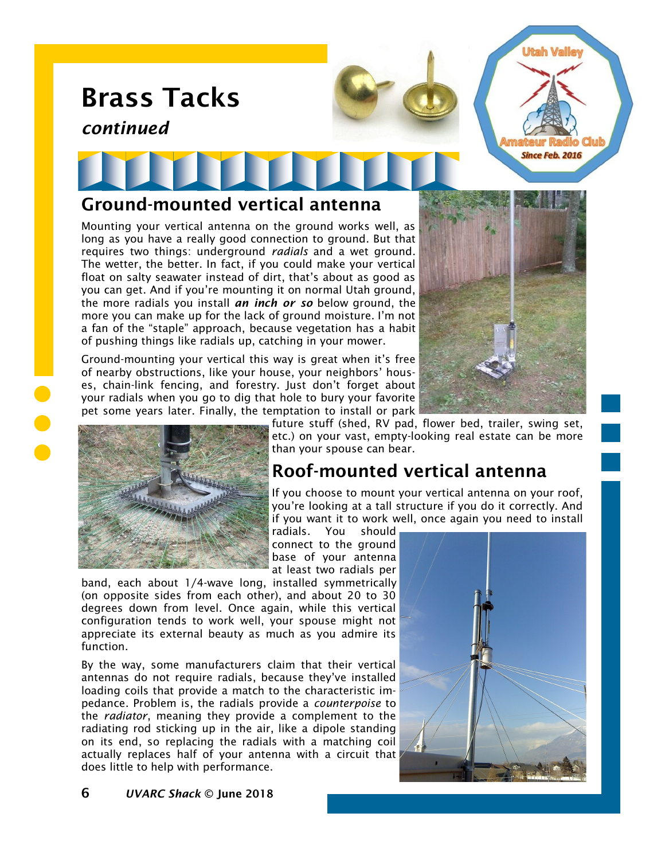# Brass Tacks

*continued*

#### Ground-mounted vertical antenna

Mounting your vertical antenna on the ground works well, as long as you have a really good connection to ground. But that requires two things: underground *radials* and a wet ground. The wetter, the better. In fact, if you could make your vertical float on salty seawater instead of dirt, that's about as good as you can get. And if you're mounting it on normal Utah ground, the more radials you install *an inch or so* below ground, the more you can make up for the lack of ground moisture. I'm not a fan of the "staple" approach, because vegetation has a habit of pushing things like radials up, catching in your mower.

Ground-mounting your vertical this way is great when it's free of nearby obstructions, like your house, your neighbors' houses, chain-link fencing, and forestry. Just don't forget about your radials when you go to dig that hole to bury your favorite pet some years later. Finally, the temptation to install or park



Utah Valle

**Since Feb. 2016** 



future stuff (shed, RV pad, flower bed, trailer, swing set, etc.) on your vast, empty-looking real estate can be more than your spouse can bear.

## Roof-mounted vertical antenna

If you choose to mount your vertical antenna on your roof, you're looking at a tall structure if you do it correctly. And if you want it to work well, once again you need to install radials. You should

connect to the ground base of your antenna at least two radials per

band, each about 1/4-wave long, installed symmetrically (on opposite sides from each other), and about 20 to 30 degrees down from level. Once again, while this vertical configuration tends to work well, your spouse might not appreciate its external beauty as much as you admire its function.

By the way, some manufacturers claim that their vertical antennas do not require radials, because they've installed loading coils that provide a match to the characteristic impedance. Problem is, the radials provide a *counterpoise* to the *radiator*, meaning they provide a complement to the radiating rod sticking up in the air, like a dipole standing on its end, so replacing the radials with a matching coil actually replaces half of your antenna with a circuit that does little to help with performance.

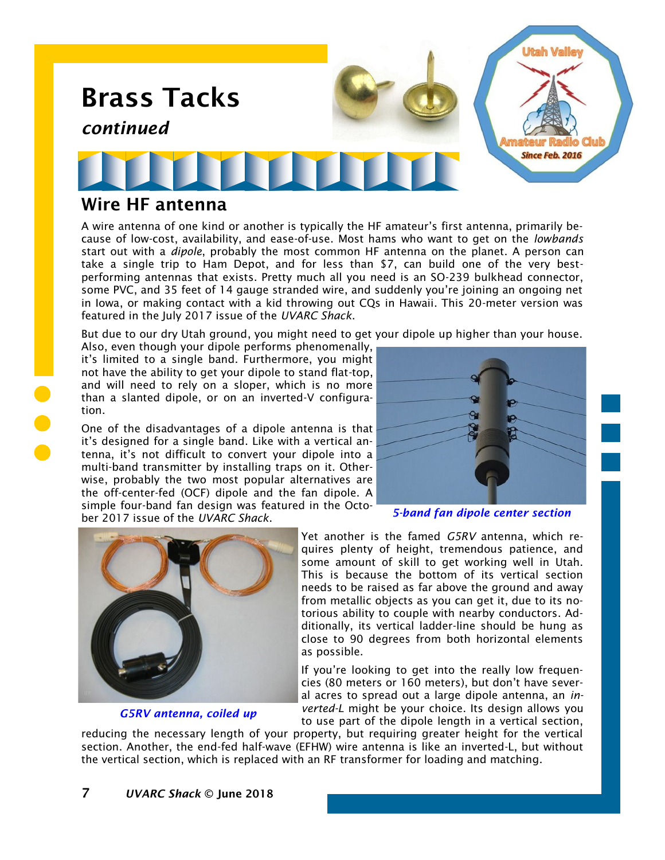

#### Wire HF antenna

A wire antenna of one kind or another is typically the HF amateur's first antenna, primarily because of low-cost, availability, and ease-of-use. Most hams who want to get on the *lowbands* start out with a *dipole*, probably the most common HF antenna on the planet. A person can take a single trip to Ham Depot, and for less than \$7, can build one of the very bestperforming antennas that exists. Pretty much all you need is an SO-239 bulkhead connector, some PVC, and 35 feet of 14 gauge stranded wire, and suddenly you're joining an ongoing net in Iowa, or making contact with a kid throwing out CQs in Hawaii. This 20-meter version was featured in the July 2017 issue of the *UVARC Shack*.

But due to our dry Utah ground, you might need to get your dipole up higher than your house.

Also, even though your dipole performs phenomenally, it's limited to a single band. Furthermore, you might not have the ability to get your dipole to stand flat-top, and will need to rely on a sloper, which is no more than a slanted dipole, or on an inverted-V configuration.

One of the disadvantages of a dipole antenna is that it's designed for a single band. Like with a vertical antenna, it's not difficult to convert your dipole into a multi-band transmitter by installing traps on it. Otherwise, probably the two most popular alternatives are the off-center-fed (OCF) dipole and the fan dipole. A simple four-band fan design was featured in the Octo-

ber 2017 issue of the *UVARC Shack*.



*5-band fan dipole center section*



*G5RV antenna, coiled up*

Yet another is the famed *G5RV* antenna, which requires plenty of height, tremendous patience, and some amount of skill to get working well in Utah. This is because the bottom of its vertical section needs to be raised as far above the ground and away from metallic objects as you can get it, due to its notorious ability to couple with nearby conductors. Additionally, its vertical ladder-line should be hung as close to 90 degrees from both horizontal elements as possible.

If you're looking to get into the really low frequencies (80 meters or 160 meters), but don't have several acres to spread out a large dipole antenna, an *inverted-L* might be your choice. Its design allows you to use part of the dipole length in a vertical section,

reducing the necessary length of your property, but requiring greater height for the vertical section. Another, the end-fed half-wave (EFHW) wire antenna is like an inverted-L, but without the vertical section, which is replaced with an RF transformer for loading and matching.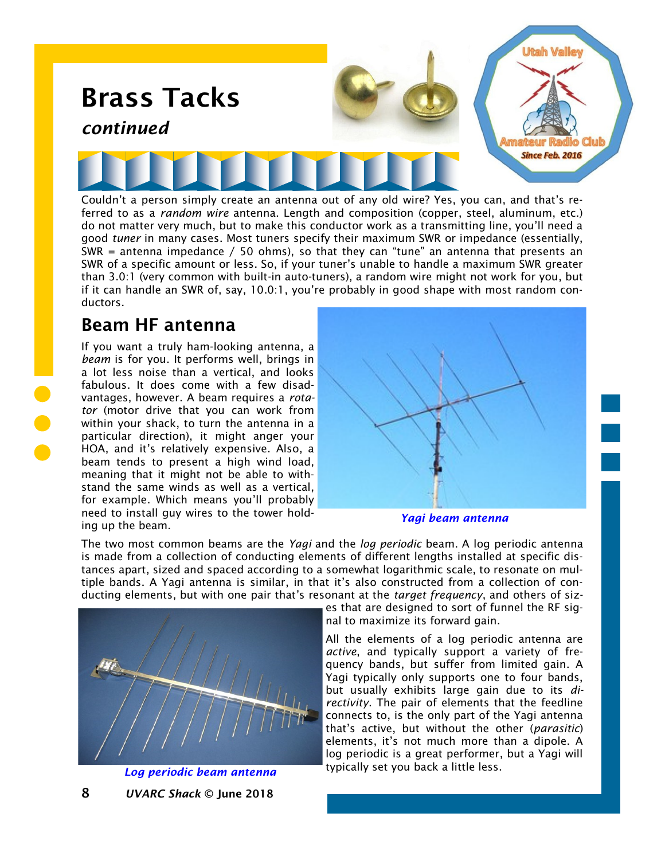

ferred to as a *random wire* antenna. Length and composition (copper, steel, aluminum, etc.) do not matter very much, but to make this conductor work as a transmitting line, you'll need a good *tuner* in many cases. Most tuners specify their maximum SWR or impedance (essentially, SWR = antenna impedance / 50 ohms), so that they can "tune" an antenna that presents an SWR of a specific amount or less. So, if your tuner's unable to handle a maximum SWR greater than 3.0:1 (very common with built-in auto-tuners), a random wire might not work for you, but if it can handle an SWR of, say, 10.0:1, you're probably in good shape with most random conductors.

#### Beam HF antenna

If you want a truly ham-looking antenna, a *beam* is for you. It performs well, brings in a lot less noise than a vertical, and looks fabulous. It does come with a few disadvantages, however. A beam requires a *rotator* (motor drive that you can work from within your shack, to turn the antenna in a particular direction), it might anger your HOA, and it's relatively expensive. Also, a beam tends to present a high wind load, meaning that it might not be able to withstand the same winds as well as a vertical, for example. Which means you'll probably need to install guy wires to the tower holding up the beam.



#### *Yagi beam antenna*

The two most common beams are the *Yagi* and the *log periodic* beam. A log periodic antenna is made from a collection of conducting elements of different lengths installed at specific distances apart, sized and spaced according to a somewhat logarithmic scale, to resonate on multiple bands. A Yagi antenna is similar, in that it's also constructed from a collection of conducting elements, but with one pair that's resonant at the *target frequency*, and others of siz-



#### *Log periodic beam antenna*

es that are designed to sort of funnel the RF signal to maximize its forward gain.

All the elements of a log periodic antenna are *active*, and typically support a variety of frequency bands, but suffer from limited gain. A Yagi typically only supports one to four bands, but usually exhibits large gain due to its *directivity*. The pair of elements that the feedline connects to, is the only part of the Yagi antenna that's active, but without the other (*parasitic*) elements, it's not much more than a dipole. A log periodic is a great performer, but a Yagi will typically set you back a little less.

8 *UVARC Shack* © June 2018